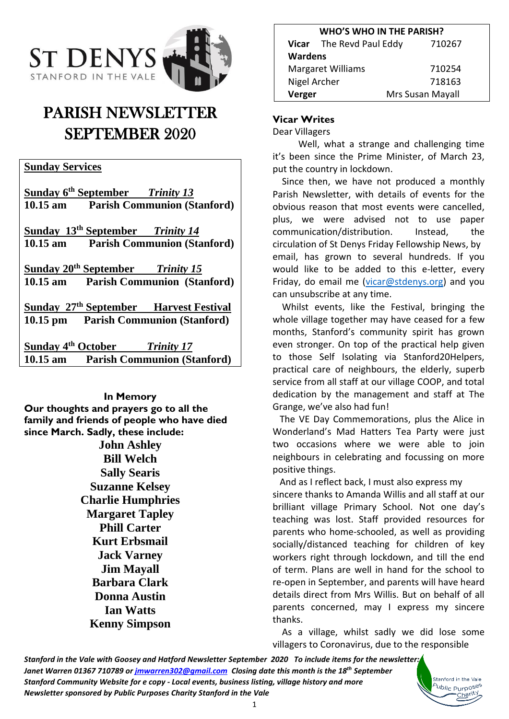

# PARISH NEWSLETTER SEPTEMBER 2020

## **Sunday Services**

**Sunday 6 th September** *Trinity 13* **10.15 am Parish Communion (Stanford) Sunday 13 th September** *Trinity 14* **10.15 am Parish Communion (Stanford) Sunday 20 th September** *Trinity 15* **10.15 am Parish Communion (Stanford) Sunday 27 th September Harvest Festival 10.15 pm Parish Communion (Stanford)**

**Sunday 4 th October** *Trinity 17* **10.15 am Parish Communion (Stanford)**

#### **In Memory**

**Our thoughts and prayers go to all the family and friends of people who have died since March. Sadly, these include:**

> **John Ashley Bill Welch Sally Searis Suzanne Kelsey Charlie Humphries Margaret Tapley Phill Carter Kurt Erbsmail Jack Varney Jim Mayall Barbara Clark Donna Austin Ian Watts Kenny Simpson**

| <b>WHO'S WHO IN THE PARISH?</b> |                          |                  |  |
|---------------------------------|--------------------------|------------------|--|
|                                 | Vicar The Revd Paul Eddy | 710267           |  |
| <b>Wardens</b>                  |                          |                  |  |
| <b>Margaret Williams</b>        |                          | 710254           |  |
| Nigel Archer                    |                          | 718163           |  |
| Verger                          |                          | Mrs Susan Mayall |  |

## **Vicar Writes**

Dear Villagers

 Well, what a strange and challenging time it's been since the Prime Minister, of March 23, put the country in lockdown.

 Since then, we have not produced a monthly Parish Newsletter, with details of events for the obvious reason that most events were cancelled, plus, we were advised not to use paper communication/distribution. Instead, the circulation of St Denys Friday Fellowship News, by email, has grown to several hundreds. If you would like to be added to this e-letter, every Friday, do email me [\(vicar@stdenys.org\)](mailto:vicar@stdenys.org) and you can unsubscribe at any time.

 Whilst events, like the Festival, bringing the whole village together may have ceased for a few months, Stanford's community spirit has grown even stronger. On top of the practical help given to those Self Isolating via Stanford20Helpers, practical care of neighbours, the elderly, superb service from all staff at our village COOP, and total dedication by the management and staff at The Grange, we've also had fun!

 The VE Day Commemorations, plus the Alice in Wonderland's Mad Hatters Tea Party were just two occasions where we were able to join neighbours in celebrating and focussing on more positive things.

 And as I reflect back, I must also express my sincere thanks to Amanda Willis and all staff at our brilliant village Primary School. Not one day's teaching was lost. Staff provided resources for parents who home-schooled, as well as providing socially/distanced teaching for children of key workers right through lockdown, and till the end of term. Plans are well in hand for the school to re-open in September, and parents will have heard details direct from Mrs Willis. But on behalf of all parents concerned, may I express my sincere thanks.

 As a village, whilst sadly we did lose some villagers to Coronavirus, due to the responsible

> Stanford in the Vale ublic Purposes Charity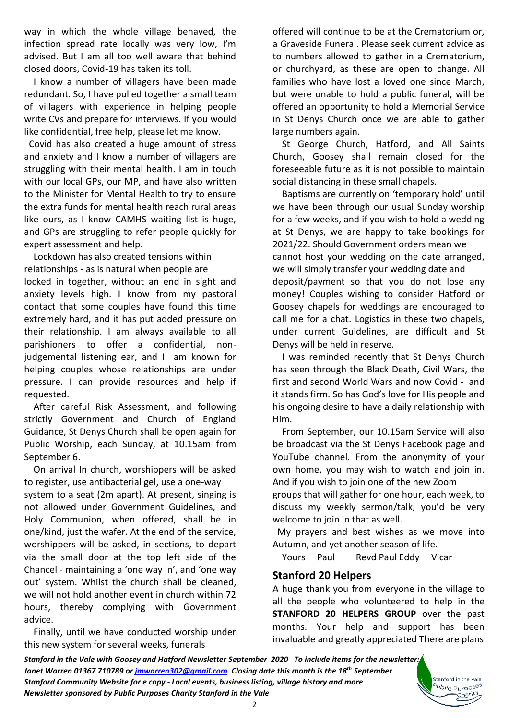way in which the whole village behaved, the infection spread rate locally was very low, I'm advised. But I am all too well aware that behind closed doors, Covid-19 has taken its toll.

 I know a number of villagers have been made redundant. So, I have pulled together a small team of villagers with experience in helping people write CVs and prepare for interviews. If you would like confidential, free help, please let me know.

 Covid has also created a huge amount of stress and anxiety and I know a number of villagers are struggling with their mental health. I am in touch with our local GPs, our MP, and have also written to the Minister for Mental Health to try to ensure the extra funds for mental health reach rural areas like ours, as I know CAMHS waiting list is huge, and GPs are struggling to refer people quickly for expert assessment and help.

 Lockdown has also created tensions within relationships - as is natural when people are locked in together, without an end in sight and anxiety levels high. I know from my pastoral contact that some couples have found this time extremely hard, and it has put added pressure on their relationship. I am always available to all parishioners to offer a confidential, nonjudgemental listening ear, and I am known for helping couples whose relationships are under pressure. I can provide resources and help if requested.

 After careful Risk Assessment, and following strictly Government and Church of England Guidance, St Denys Church shall be open again for Public Worship, each Sunday, at 10.15am from September 6.

 On arrival In church, worshippers will be asked to register, use antibacterial gel, use a one-way system to a seat (2m apart). At present, singing is not allowed under Government Guidelines, and Holy Communion, when offered, shall be in one/kind, just the wafer. At the end of the service, worshippers will be asked, in sections, to depart via the small door at the top left side of the Chancel - maintaining a 'one way in', and 'one way out' system. Whilst the church shall be cleaned, we will not hold another event in church within 72 hours, thereby complying with Government advice.

 Finally, until we have conducted worship under this new system for several weeks, funerals

offered will continue to be at the Crematorium or, a Graveside Funeral. Please seek current advice as to numbers allowed to gather in a Crematorium, or churchyard, as these are open to change. All families who have lost a loved one since March, but were unable to hold a public funeral, will be offered an opportunity to hold a Memorial Service in St Denys Church once we are able to gather large numbers again.

 St George Church, Hatford, and All Saints Church, Goosey shall remain closed for the foreseeable future as it is not possible to maintain social distancing in these small chapels.

 Baptisms are currently on 'temporary hold' until we have been through our usual Sunday worship for a few weeks, and if you wish to hold a wedding at St Denys, we are happy to take bookings for 2021/22. Should Government orders mean we cannot host your wedding on the date arranged, we will simply transfer your wedding date and deposit/payment so that you do not lose any money! Couples wishing to consider Hatford or Goosey chapels for weddings are encouraged to call me for a chat. Logistics in these two chapels, under current Guidelines, are difficult and St Denys will be held in reserve.

 I was reminded recently that St Denys Church has seen through the Black Death, Civil Wars, the first and second World Wars and now Covid - and it stands firm. So has God's love for His people and his ongoing desire to have a daily relationship with Him.

 From September, our 10.15am Service will also be broadcast via the St Denys Facebook page and YouTube channel. From the anonymity of your own home, you may wish to watch and join in. And if you wish to join one of the new Zoom

groups that will gather for one hour, each week, to discuss my weekly sermon/talk, you'd be very welcome to join in that as well.

 My prayers and best wishes as we move into Autumn, and yet another season of life.

Yours Paul Revd Paul Eddy Vicar

#### **Stanford 20 Helpers**

A huge thank you from everyone in the village to all the people who volunteered to help in the **STANFORD 20 HELPERS GROUP** over the past months. Your help and support has been invaluable and greatly appreciated There are plans

> Stanford in the Vale <sup>b</sup>ublic Purpo<sup>ses</sup> Charity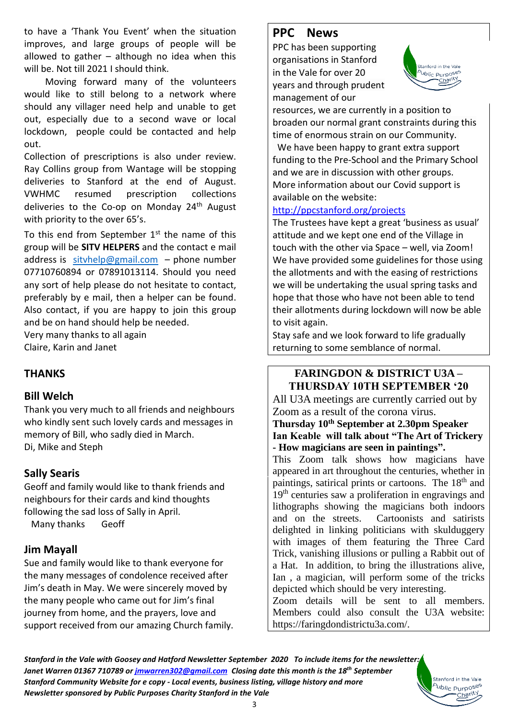to have a 'Thank You Event' when the situation improves, and large groups of people will be allowed to gather  $-$  although no idea when this will be. Not till 2021 I should think.

 Moving forward many of the volunteers would like to still belong to a network where should any villager need help and unable to get out, especially due to a second wave or local lockdown, people could be contacted and help out.

Collection of prescriptions is also under review. Ray Collins group from Wantage will be stopping deliveries to Stanford at the end of August. VWHMC resumed prescription collections deliveries to the Co-op on Monday 24<sup>th</sup> August with priority to the over 65's.

To this end from September  $1<sup>st</sup>$  the name of this group will be **SITV HELPERS** and the contact e mail address is sityhelp@gmail.com – phone number 07710760894 or 07891013114. Should you need any sort of help please do not hesitate to contact, preferably by e mail, then a helper can be found. Also contact, if you are happy to join this group and be on hand should help be needed.

Very many thanks to all again Claire, Karin and Janet

# **THANKS**

## **Bill Welch**

Thank you very much to all friends and neighbours who kindly sent such lovely cards and messages in memory of Bill, who sadly died in March. Di, Mike and Steph

# **Sally Searis**

Geoff and family would like to thank friends and neighbours for their cards and kind thoughts following the sad loss of Sally in April.

Many thanks Geoff

# **Jim Mayall**

Sue and family would like to thank everyone for the many messages of condolence received after Jim's death in May. We were sincerely moved by the many people who came out for Jim's final journey from home, and the prayers, love and support received from our amazing Church family.

# **PPC News**

PPC has been supporting organisations in Stanford in the Vale for over 20 years and through prudent management of our



resources, we are currently in a position to broaden our normal grant constraints during this time of enormous strain on our Community.

We have been happy to grant extra support funding to the Pre-School and the Primary School and we are in discussion with other groups. More information about our Covid support is available on the website:

#### [http://ppcstanford.org/projects](http://ppcstanford.org/projects/)

The Trustees have kept a great 'business as usual' attitude and we kept one end of the Village in touch with the other via Space – well, via Zoom! We have provided some guidelines for those using the allotments and with the easing of restrictions we will be undertaking the usual spring tasks and hope that those who have not been able to tend their allotments during lockdown will now be able to visit again.

Stay safe and we look forward to life gradually returning to some semblance of normal.

#### **FARINGDON & DISTRICT U3A – THURSDAY 10TH SEPTEMBER '20**

All U3A meetings are currently carried out by Zoom as a result of the corona virus.

#### **Thursday 10th September at 2.30pm Speaker Ian Keable will talk about "The Art of Trickery - How magicians are seen in paintings".**

This Zoom talk shows how magicians have appeared in art throughout the centuries, whether in paintings, satirical prints or cartoons. The 18th and 19<sup>th</sup> centuries saw a proliferation in engravings and lithographs showing the magicians both indoors and on the streets. Cartoonists and satirists delighted in linking politicians with skulduggery with images of them featuring the Three Card Trick, vanishing illusions or pulling a Rabbit out of a Hat. In addition, to bring the illustrations alive, Ian , a magician, will perform some of the tricks depicted which should be very interesting.

Zoom details will be sent to all members. Members could also consult the U3A website: https://faringdondistrictu3a.com/.

> Stanford in the Vale b<sub>ublic</sub> <sub>Purposes</sub> Charity